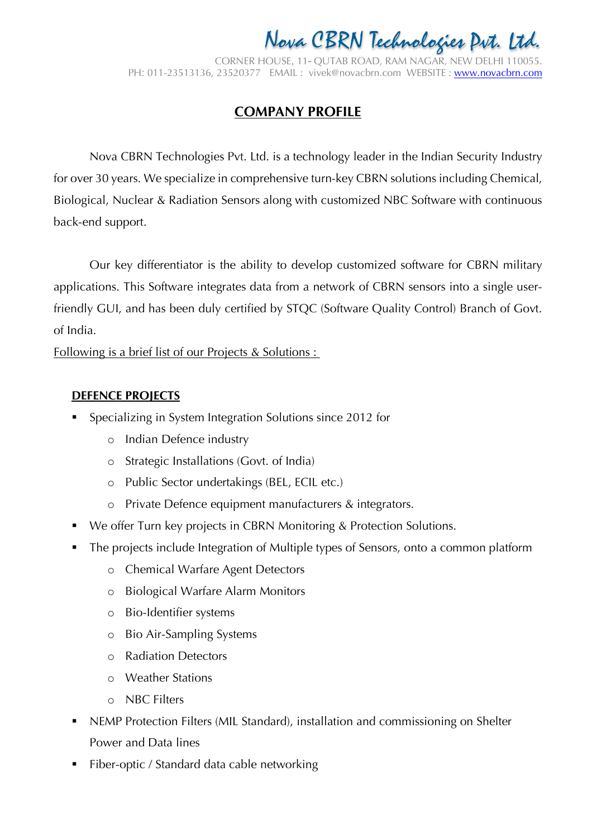CORNER HOUSE, 11- QUTAB ROAD, RAM NAGAR, NEW DELHI 110055. PH: 011-23513136, 23520377 EMAIL : vivek@novacbrn.com WEBSITE : www.novacbrn.com ENVAIL : VIVEN©NOVACDIN.COM, VVEDUNE : WWW.NOVC

### **COMPANY PROFILE**

chanaius tuvo Lau CDDN salutians ingluding Cl for over 30 years. We specialize in comprehensive turn-key CBRN solutions including Chemical, Biological, Nuclear & Radiation Sensors along with customized NBC Software with continuous Nova CBRN Technologies Pvt. Ltd. Nova CBRN Technologies Pvt. Ltd. is a technology leader in the Indian Security Industry back-end support.

Our key differentiator is the ability to develop customized software for CBRN military applications. This Software integrates data from a network of CBRN sensors into a single userfriendly GUI, and has been duly certified by STQC (Software Quality Control) Branch of Govt. of India.

Following is a brief list of our Projects & Solutions :

#### **DEFENCE PROJECTS**

- § Specializing in System Integration Solutions since 2012 for
	- o Indian Defence industry
	- o Strategic Installations (Govt. of India)
	- o Public Sector undertakings (BEL, ECIL etc.)
	- o Private Defence equipment manufacturers & integrators.
- We offer Turn key projects in CBRN Monitoring & Protection Solutions.
- § The projects include Integration of Multiple types of Sensors, onto a common platform
	- o Chemical Warfare Agent Detectors
	- o Biological Warfare Alarm Monitors
	- o Bio-Identifier systems
	- o Bio Air-Sampling Systems
	- o Radiation Detectors
	- o Weather Stations
	- o NBC Filters
- § NEMP Protection Filters (MIL Standard), installation and commissioning on Shelter Power and Data lines
- § Fiber-optic / Standard data cable networking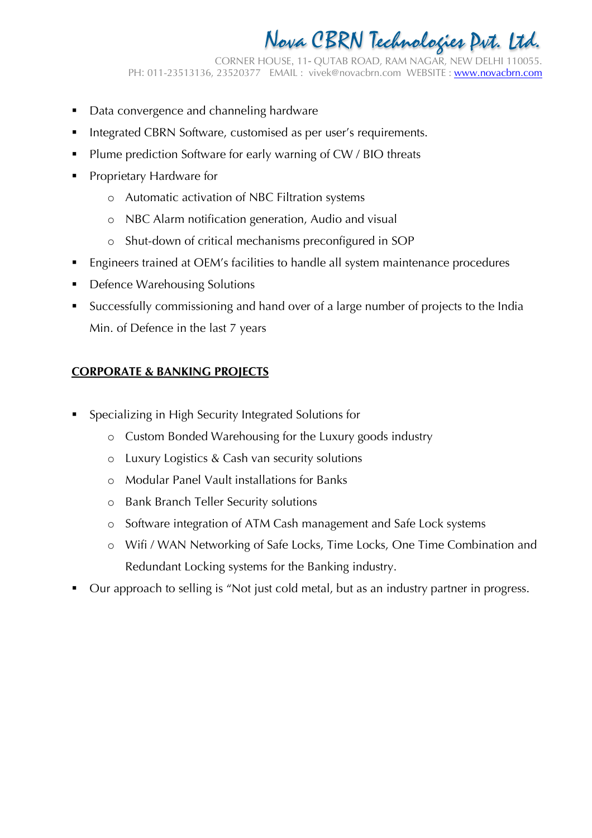CORNER HOUSE, 11- QUTAB ROAD, RAM NAGAR, NEW DELHI 110055. PH: 011-23513136, 23520377 EMAIL : vivek@novacbrn.com WEBSITE : www.novacbrn.com ENVAIL : VIVEN©NOVACDIN.COM, VVEDUNE : WWW.NOVC

- **Data convergence and channeling hardware**
- Integrated CBRN Software, customised as per user's requirements.
- Plume prediction Software for early warning of CW / BIO threats
- § Proprietary Hardware for
	- o Automatic activation of NBC Filtration systems
	- o NBC Alarm notification generation, Audio and visual
	- o Shut-down of critical mechanisms preconfigured in SOP
- § Engineers trained at OEM's facilities to handle all system maintenance procedures
- § Defence Warehousing Solutions
- § Successfully commissioning and hand over of a large number of projects to the India Min. of Defence in the last 7 years

### **CORPORATE & BANKING PROJECTS**

- § Specializing in High Security Integrated Solutions for
	- o Custom Bonded Warehousing for the Luxury goods industry
	- o Luxury Logistics & Cash van security solutions
	- o Modular Panel Vault installations for Banks
	- o Bank Branch Teller Security solutions
	- o Software integration of ATM Cash management and Safe Lock systems
	- o Wifi / WAN Networking of Safe Locks, Time Locks, One Time Combination and Redundant Locking systems for the Banking industry.
- § Our approach to selling is "Not just cold metal, but as an industry partner in progress.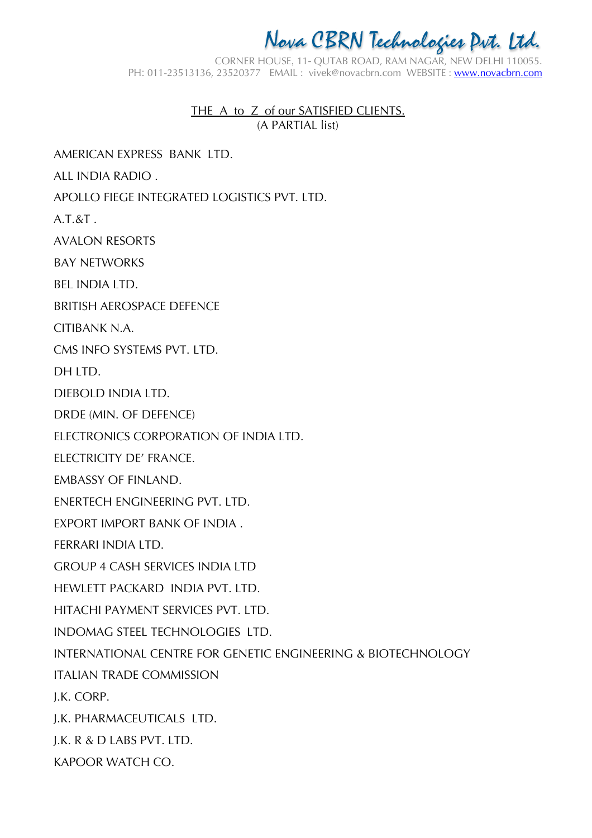CORNER HOUSE, 11- QUTAB ROAD, RAM NAGAR, NEW DELHI 110055. PH: 011-23513136, 23520377 EMAIL : vivek@novacbrn.com WEBSITE : www.novacbrn.com ENVAIL : VIVEN©NOVACDIN.COM, VVEDUNE : WWW.NOVC

> THE A to Z of our SATISFIED CLIENTS. (A PARTIAL list)

AMERICAN EXPRESS BANK LTD.

ALL INDIA RADIO .

APOLLO FIEGE INTEGRATED LOGISTICS PVT. LTD.

A.T.&T .

AVALON RESORTS

BAY NETWORKS

BEL INDIA LTD.

BRITISH AEROSPACE DEFENCE

CITIBANK N.A.

CMS INFO SYSTEMS PVT. LTD.

DH LTD.

DIEBOLD INDIA LTD.

DRDE (MIN. OF DEFENCE)

ELECTRONICS CORPORATION OF INDIA LTD.

ELECTRICITY DE' FRANCE.

EMBASSY OF FINLAND.

ENERTECH ENGINEERING PVT. LTD.

EXPORT IMPORT BANK OF INDIA .

FERRARI INDIA LTD.

GROUP 4 CASH SERVICES INDIA LTD

HEWLETT PACKARD INDIA PVT. LTD.

HITACHI PAYMENT SERVICES PVT. LTD.

INDOMAG STEEL TECHNOLOGIES LTD.

INTERNATIONAL CENTRE FOR GENETIC ENGINEERING & BIOTECHNOLOGY

ITALIAN TRADE COMMISSION

J.K. CORP.

J.K. PHARMACEUTICALS LTD.

J.K. R & D LABS PVT. LTD.

KAPOOR WATCH CO.